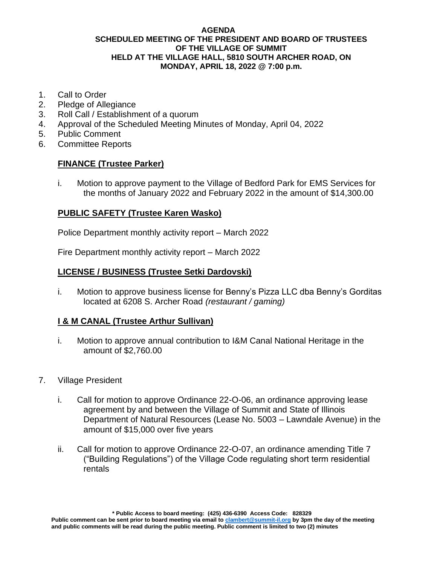### **AGENDA SCHEDULED MEETING OF THE PRESIDENT AND BOARD OF TRUSTEES OF THE VILLAGE OF SUMMIT HELD AT THE VILLAGE HALL, 5810 SOUTH ARCHER ROAD, ON MONDAY, APRIL 18, 2022 @ 7:00 p.m.**

- 1. Call to Order
- 2. Pledge of Allegiance
- 3. Roll Call / Establishment of a quorum
- 4. Approval of the Scheduled Meeting Minutes of Monday, April 04, 2022
- 5. Public Comment
- 6. Committee Reports

## **FINANCE (Trustee Parker)**

i. Motion to approve payment to the Village of Bedford Park for EMS Services for the months of January 2022 and February 2022 in the amount of \$14,300.00

## **PUBLIC SAFETY (Trustee Karen Wasko)**

Police Department monthly activity report – March 2022

Fire Department monthly activity report – March 2022

## **LICENSE / BUSINESS (Trustee Setki Dardovski)**

i. Motion to approve business license for Benny's Pizza LLC dba Benny's Gorditas located at 6208 S. Archer Road *(restaurant / gaming)*

# **I & M CANAL (Trustee Arthur Sullivan)**

- i. Motion to approve annual contribution to I&M Canal National Heritage in the amount of \$2,760.00
- 7. Village President
	- i. Call for motion to approve Ordinance 22-O-06, an ordinance approving lease agreement by and between the Village of Summit and State of Illinois Department of Natural Resources (Lease No. 5003 – Lawndale Avenue) in the amount of \$15,000 over five years
	- ii. Call for motion to approve Ordinance 22-O-07, an ordinance amending Title 7 ("Building Regulations") of the Village Code regulating short term residential rentals